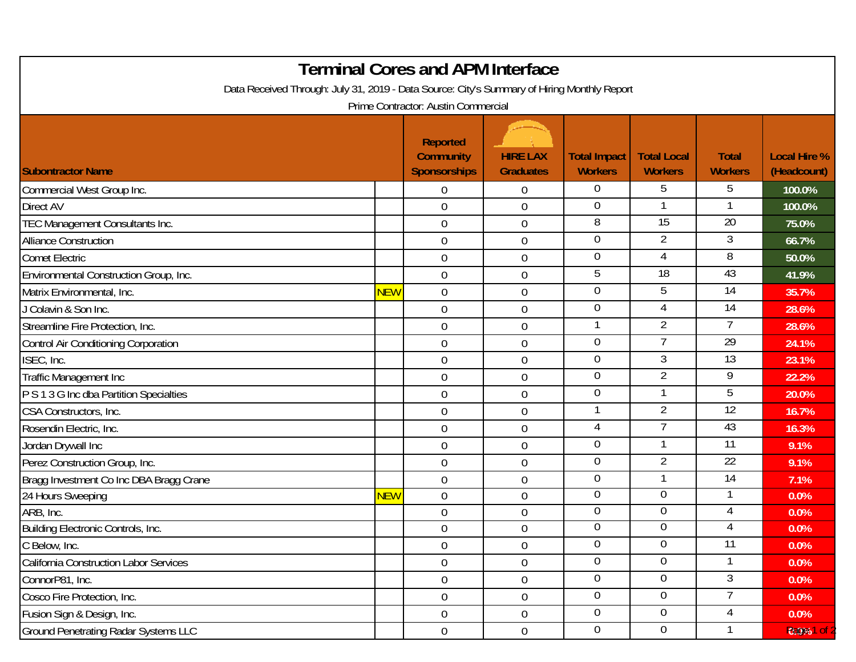| <b>Terminal Cores and APM Interface</b><br>Data Received Through: July 31, 2019 - Data Source: City's Summary of Hiring Monthly Report<br>Prime Contractor: Austin Commercial |            |                                                            |                                     |                                       |                                      |                                |                                    |  |  |  |  |
|-------------------------------------------------------------------------------------------------------------------------------------------------------------------------------|------------|------------------------------------------------------------|-------------------------------------|---------------------------------------|--------------------------------------|--------------------------------|------------------------------------|--|--|--|--|
| <b>Subontractor Name</b>                                                                                                                                                      |            | <b>Reported</b><br><b>Community</b><br><b>Sponsorships</b> | <b>HIRE LAX</b><br><b>Graduates</b> | <b>Total Impact</b><br><b>Workers</b> | <b>Total Local</b><br><b>Workers</b> | <b>Total</b><br><b>Workers</b> | <b>Local Hire %</b><br>(Headcount) |  |  |  |  |
| Commercial West Group Inc.                                                                                                                                                    |            | 0                                                          | 0                                   | $\overline{0}$                        | 5                                    | 5                              | 100.0%                             |  |  |  |  |
| <b>Direct AV</b>                                                                                                                                                              |            | $\overline{0}$                                             | $\boldsymbol{0}$                    | $\overline{0}$                        |                                      |                                | 100.0%                             |  |  |  |  |
| TEC Management Consultants Inc.                                                                                                                                               |            | $\overline{0}$                                             | $\boldsymbol{0}$                    | 8                                     | $\overline{15}$                      | 20                             | 75.0%                              |  |  |  |  |
| <b>Alliance Construction</b>                                                                                                                                                  |            | $\overline{0}$                                             | $\mathbf 0$                         | $\overline{0}$                        | $\overline{2}$                       | 3                              | 66.7%                              |  |  |  |  |
| <b>Comet Electric</b>                                                                                                                                                         |            | $\mathbf 0$                                                | $\boldsymbol{0}$                    | $\overline{0}$                        | 4                                    | 8                              | 50.0%                              |  |  |  |  |
| Environmental Construction Group, Inc.                                                                                                                                        |            | $\overline{0}$                                             | $\boldsymbol{0}$                    | 5                                     | 18                                   | 43                             | 41.9%                              |  |  |  |  |
| Matrix Environmental, Inc.                                                                                                                                                    | <b>NEW</b> | $\mathbf 0$                                                | $\boldsymbol{0}$                    | $\overline{0}$                        | 5                                    | 14                             | 35.7%                              |  |  |  |  |
| J Colavin & Son Inc.                                                                                                                                                          |            | $\overline{0}$                                             | $\boldsymbol{0}$                    | $\overline{0}$                        | $\overline{4}$                       | 14                             | 28.6%                              |  |  |  |  |
| Streamline Fire Protection, Inc.                                                                                                                                              |            | $\mathbf 0$                                                | $\boldsymbol{0}$                    |                                       | $\overline{2}$                       | 7                              | 28.6%                              |  |  |  |  |
| Control Air Conditioning Corporation                                                                                                                                          |            | $\mathbf 0$                                                | $\boldsymbol{0}$                    | $\overline{0}$                        | $\overline{7}$                       | $\overline{29}$                | 24.1%                              |  |  |  |  |
| ISEC, Inc.                                                                                                                                                                    |            | $\mathbf 0$                                                | $\boldsymbol{0}$                    | $\theta$                              | $\mathfrak{Z}$                       | 13                             | 23.1%                              |  |  |  |  |
| Traffic Management Inc                                                                                                                                                        |            | $\overline{0}$                                             | $\boldsymbol{0}$                    | $\overline{0}$                        | $\overline{2}$                       | 9                              | 22.2%                              |  |  |  |  |
| P S 1 3 G Inc dba Partition Specialties                                                                                                                                       |            | $\mathbf 0$                                                | $\boldsymbol{0}$                    | $\overline{0}$                        | 1                                    | 5                              | 20.0%                              |  |  |  |  |
| CSA Constructors, Inc.                                                                                                                                                        |            | $\overline{0}$                                             | $\boldsymbol{0}$                    |                                       | $\overline{2}$                       | 12                             | 16.7%                              |  |  |  |  |
| Rosendin Electric, Inc.                                                                                                                                                       |            | $\overline{0}$                                             | $\boldsymbol{0}$                    | 4                                     |                                      | 43                             | 16.3%                              |  |  |  |  |
| Jordan Drywall Inc                                                                                                                                                            |            | $\overline{0}$                                             | $\mathbf 0$                         | $\overline{0}$                        |                                      | $\overline{11}$                | 9.1%                               |  |  |  |  |
| Perez Construction Group, Inc.                                                                                                                                                |            | $\mathbf 0$                                                | $\boldsymbol{0}$                    | $\overline{0}$                        | $\overline{2}$                       | $\overline{22}$                | 9.1%                               |  |  |  |  |
| Bragg Investment Co Inc DBA Bragg Crane                                                                                                                                       |            | $\mathbf 0$                                                | $\boldsymbol{0}$                    | $\mathbf 0$                           | $\mathbf 1$                          | 14                             | 7.1%                               |  |  |  |  |
| 24 Hours Sweeping                                                                                                                                                             | <b>NEW</b> | $\overline{0}$                                             | $\boldsymbol{0}$                    | $\overline{0}$                        | $\overline{0}$                       |                                | 0.0%                               |  |  |  |  |
| ARB, Inc.                                                                                                                                                                     |            | $\overline{0}$                                             | $\boldsymbol{0}$                    | $\overline{0}$                        | $\overline{0}$                       | 4                              | 0.0%                               |  |  |  |  |
| <b>Building Electronic Controls, Inc.</b>                                                                                                                                     |            | $\overline{0}$                                             | $\mathbf 0$                         | $\overline{0}$                        | $\overline{0}$                       | 4                              | 0.0%                               |  |  |  |  |
| C Below, Inc.                                                                                                                                                                 |            | $\mathbf 0$                                                | $\boldsymbol{0}$                    | $\mathbf 0$                           | $\mathbf 0$                          | 11                             | 0.0%                               |  |  |  |  |
| <b>California Construction Labor Services</b>                                                                                                                                 |            | $\overline{0}$                                             | $\boldsymbol{0}$                    | $\overline{0}$                        | 0                                    |                                | 0.0%                               |  |  |  |  |
| ConnorP81, Inc.                                                                                                                                                               |            | $\overline{0}$                                             | $\boldsymbol{0}$                    | $\overline{0}$                        | $\pmb{0}$                            | 3                              | 0.0%                               |  |  |  |  |
| Cosco Fire Protection, Inc.                                                                                                                                                   |            | $\overline{0}$                                             | $\boldsymbol{0}$                    | $\overline{0}$                        | $\mathbf 0$                          | 7                              | 0.0%                               |  |  |  |  |
| Fusion Sign & Design, Inc.                                                                                                                                                    |            | $\overline{0}$                                             | $\boldsymbol{0}$                    | $\overline{0}$                        | $\pmb{0}$                            | 4                              | 0.0%                               |  |  |  |  |
| <b>Ground Penetrating Radar Systems LLC</b>                                                                                                                                   |            | $\overline{0}$                                             | $\boldsymbol{0}$                    | $\overline{0}$                        | $\pmb{0}$                            |                                | 0.0%1 of                           |  |  |  |  |